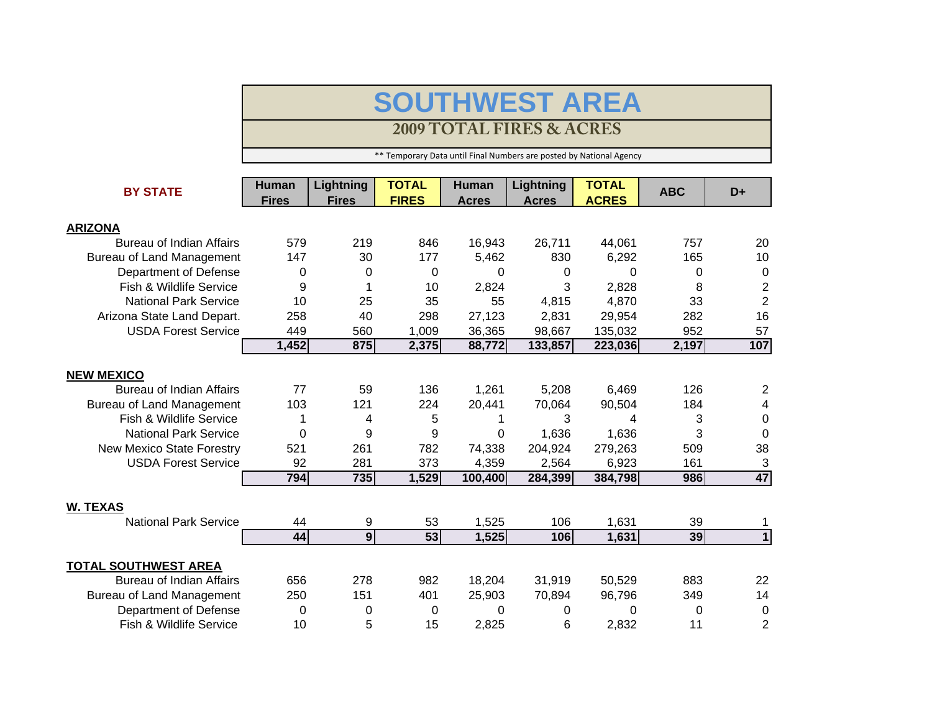## **SOUTHWEST AREA**

## **2009 TOTAL FIRES & ACRES**

\*\* Temporary Data until Final Numbers are posted by National Agency

| <b>BY STATE</b>                  | <b>Human</b> | Lightning      | <b>TOTAL</b> | <b>Human</b> | Lightning    | <b>TOTAL</b> | <b>ABC</b> | D+             |
|----------------------------------|--------------|----------------|--------------|--------------|--------------|--------------|------------|----------------|
|                                  | <b>Fires</b> | <b>Fires</b>   | <b>FIRES</b> | <b>Acres</b> | <b>Acres</b> | <b>ACRES</b> |            |                |
| <b>ARIZONA</b>                   |              |                |              |              |              |              |            |                |
| Bureau of Indian Affairs         | 579          | 219            | 846          | 16,943       | 26,711       | 44,061       | 757        | 20             |
| <b>Bureau of Land Management</b> | 147          | 30             | 177          | 5,462        | 830          | 6,292        | 165        | 10             |
| Department of Defense            | 0            | 0              | 0            | 0            | 0            | 0            | 0          | $\mathbf 0$    |
| Fish & Wildlife Service          | 9            | 1              | 10           | 2,824        | 3            | 2,828        | 8          | $\overline{2}$ |
| <b>National Park Service</b>     | 10           | 25             | 35           | 55           | 4,815        | 4,870        | 33         | $\overline{2}$ |
| Arizona State Land Depart.       | 258          | 40             | 298          | 27,123       | 2,831        | 29,954       | 282        | 16             |
| <b>USDA Forest Service</b>       | 449          | 560            | 1,009        | 36,365       | 98,667       | 135,032      | 952        | 57             |
|                                  | 1,452        | 875            | 2,375        | 88,772       | 133,857      | 223,036      | 2,197      | 107            |
|                                  |              |                |              |              |              |              |            |                |
| <b>NEW MEXICO</b>                |              |                |              |              |              |              |            |                |
| <b>Bureau of Indian Affairs</b>  | 77           | 59             | 136          | 1,261        | 5,208        | 6,469        | 126        | $\overline{2}$ |
| <b>Bureau of Land Management</b> | 103          | 121            | 224          | 20,441       | 70,064       | 90,504       | 184        | 4              |
| Fish & Wildlife Service          | 1            | 4              | 5            | 1            | 3            | 4            | 3          | 0              |
| <b>National Park Service</b>     | 0            | 9              | 9            | 0            | 1,636        | 1,636        | 3          | $\Omega$       |
| <b>New Mexico State Forestry</b> | 521          | 261            | 782          | 74,338       | 204,924      | 279,263      | 509        | 38             |
| <b>USDA Forest Service</b>       | 92           | 281            | 373          | 4,359        | 2,564        | 6,923        | 161        | 3              |
|                                  | 794          | 735            | 1,529        | 100,400      | 284,399      | 384,798      | 986        | 47             |
|                                  |              |                |              |              |              |              |            |                |
| <b>W. TEXAS</b>                  |              |                |              |              |              |              |            |                |
| <b>National Park Service</b>     | 44           | 9              | 53           | 1,525        | 106          | 1,631        | 39         | 1              |
|                                  | 44           | $\overline{9}$ | 53           | 1,525        | 106          | 1,631        | 39         | $\overline{1}$ |
| <b>TOTAL SOUTHWEST AREA</b>      |              |                |              |              |              |              |            |                |
| <b>Bureau of Indian Affairs</b>  | 656          | 278            | 982          | 18,204       | 31,919       | 50,529       | 883        | 22             |
| <b>Bureau of Land Management</b> | 250          | 151            | 401          | 25,903       | 70,894       | 96,796       | 349        | 14             |
| Department of Defense            | 0            | 0              | 0            | 0            | 0            | 0            | 0          | 0              |
| Fish & Wildlife Service          | 10           | 5              | 15           | 2,825        | 6            | 2,832        | 11         | $\overline{2}$ |